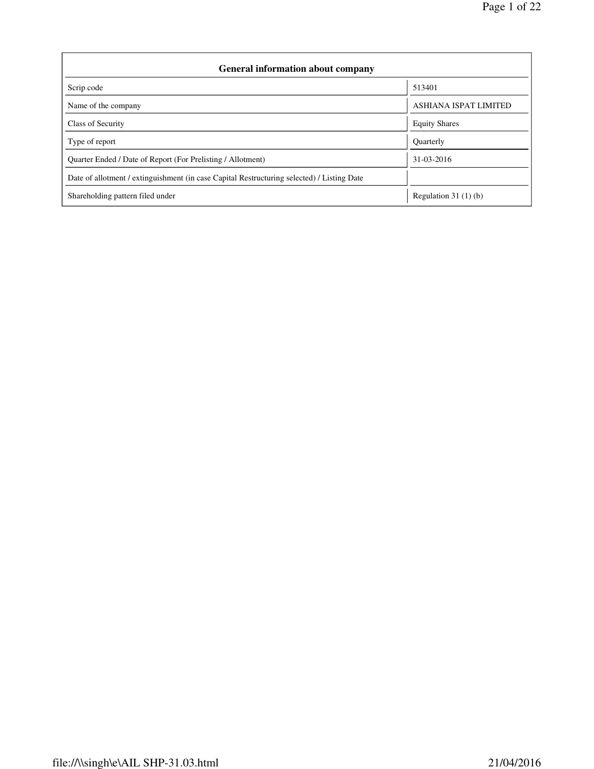| <b>General information about company</b>                                                   |                              |  |  |  |  |  |  |
|--------------------------------------------------------------------------------------------|------------------------------|--|--|--|--|--|--|
| Scrip code                                                                                 | 513401                       |  |  |  |  |  |  |
| Name of the company                                                                        | <b>ASHIANA ISPAT LIMITED</b> |  |  |  |  |  |  |
| Class of Security                                                                          | <b>Equity Shares</b>         |  |  |  |  |  |  |
| Type of report                                                                             | <b>Ouarterly</b>             |  |  |  |  |  |  |
| Quarter Ended / Date of Report (For Prelisting / Allotment)                                | 31-03-2016                   |  |  |  |  |  |  |
| Date of allotment / extinguishment (in case Capital Restructuring selected) / Listing Date |                              |  |  |  |  |  |  |
| Shareholding pattern filed under                                                           | Regulation 31 $(1)(b)$       |  |  |  |  |  |  |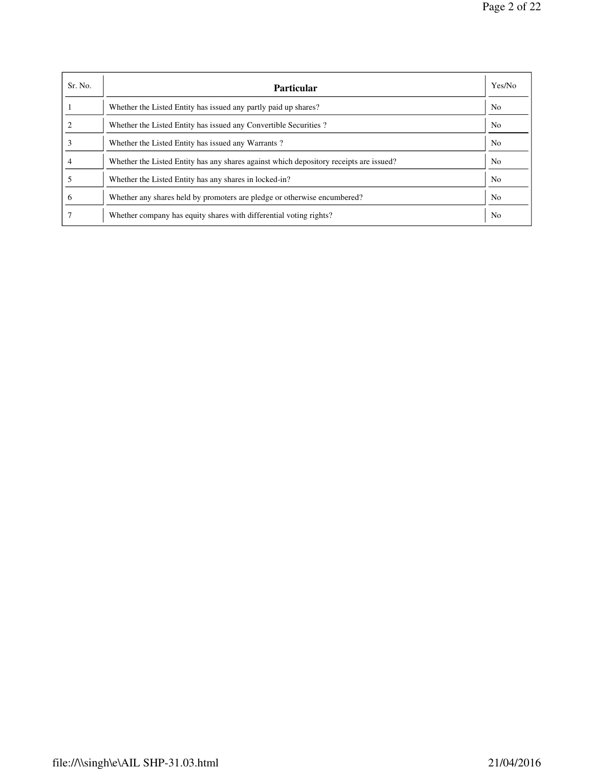| Sr. No. | Particular                                                                             | Yes/No         |
|---------|----------------------------------------------------------------------------------------|----------------|
|         | Whether the Listed Entity has issued any partly paid up shares?                        | No.            |
|         | Whether the Listed Entity has issued any Convertible Securities?                       | N <sub>0</sub> |
|         | Whether the Listed Entity has issued any Warrants?                                     | No.            |
|         | Whether the Listed Entity has any shares against which depository receipts are issued? | N <sub>0</sub> |
|         | Whether the Listed Entity has any shares in locked-in?                                 | N <sub>0</sub> |
| O       | Whether any shares held by promoters are pledge or otherwise encumbered?               | No.            |
|         | Whether company has equity shares with differential voting rights?                     | N <sub>0</sub> |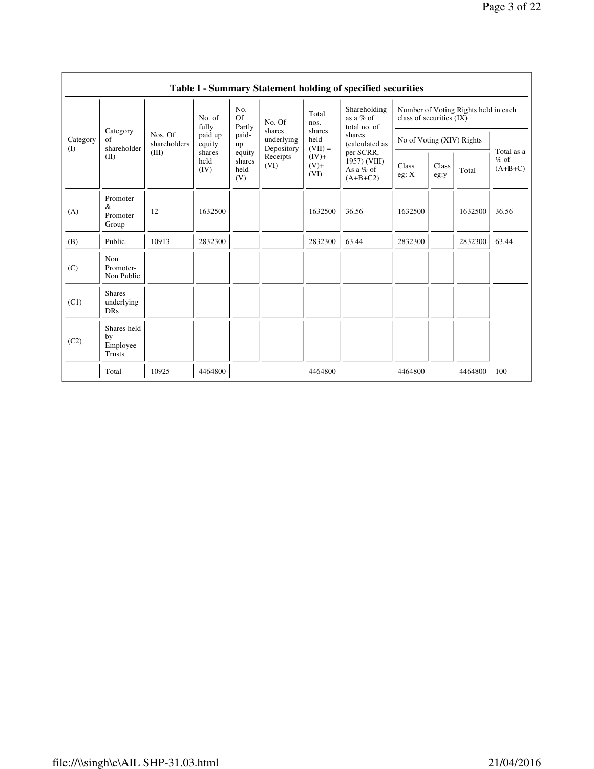|                 |                                                |                                                                                                                                                                |                   |                            |                                    |                             | Table I - Summary Statement holding of specified securities |                                                                  |  |         |            |
|-----------------|------------------------------------------------|----------------------------------------------------------------------------------------------------------------------------------------------------------------|-------------------|----------------------------|------------------------------------|-----------------------------|-------------------------------------------------------------|------------------------------------------------------------------|--|---------|------------|
|                 |                                                |                                                                                                                                                                | No. of<br>fully   | No.<br><b>Of</b><br>Partly | No. Of                             | Total<br>nos.               | Shareholding<br>as a $%$ of<br>total no. of                 | Number of Voting Rights held in each<br>class of securities (IX) |  |         |            |
| Category<br>(I) | Category<br>of<br>shareholder                  | Nos. Of<br>shareholders                                                                                                                                        | paid up<br>equity | paid-<br>up                | shares<br>underlying<br>Depository | shares<br>held<br>$(VII) =$ | shares<br>(calculated as                                    | No of Voting (XIV) Rights                                        |  |         | Total as a |
|                 | (II)                                           | (III)<br>per SCRR,<br>shares<br>equity<br>Receipts<br>$(IV)+$<br>held<br>shares<br>(VI)<br>$(V)$ +<br>As a $%$ of<br>(IV)<br>held<br>(VI)<br>(V)<br>$(A+B+C2)$ | $1957)$ (VIII)    | Class<br>eg: X             | Class<br>eg:y                      | Total                       | $%$ of<br>$(A+B+C)$                                         |                                                                  |  |         |            |
| (A)             | Promoter<br>&<br>Promoter<br>Group             | 12                                                                                                                                                             | 1632500           |                            |                                    | 1632500                     | 36.56                                                       | 1632500                                                          |  | 1632500 | 36.56      |
| (B)             | Public                                         | 10913                                                                                                                                                          | 2832300           |                            |                                    | 2832300                     | 63.44                                                       | 2832300                                                          |  | 2832300 | 63.44      |
| (C)             | Non<br>Promoter-<br>Non Public                 |                                                                                                                                                                |                   |                            |                                    |                             |                                                             |                                                                  |  |         |            |
| (C1)            | <b>Shares</b><br>underlying<br><b>DRs</b>      |                                                                                                                                                                |                   |                            |                                    |                             |                                                             |                                                                  |  |         |            |
| (C2)            | Shares held<br>by<br>Employee<br><b>Trusts</b> |                                                                                                                                                                |                   |                            |                                    |                             |                                                             |                                                                  |  |         |            |
|                 | Total                                          | 10925                                                                                                                                                          | 4464800           |                            |                                    | 4464800                     |                                                             | 4464800                                                          |  | 4464800 | 100        |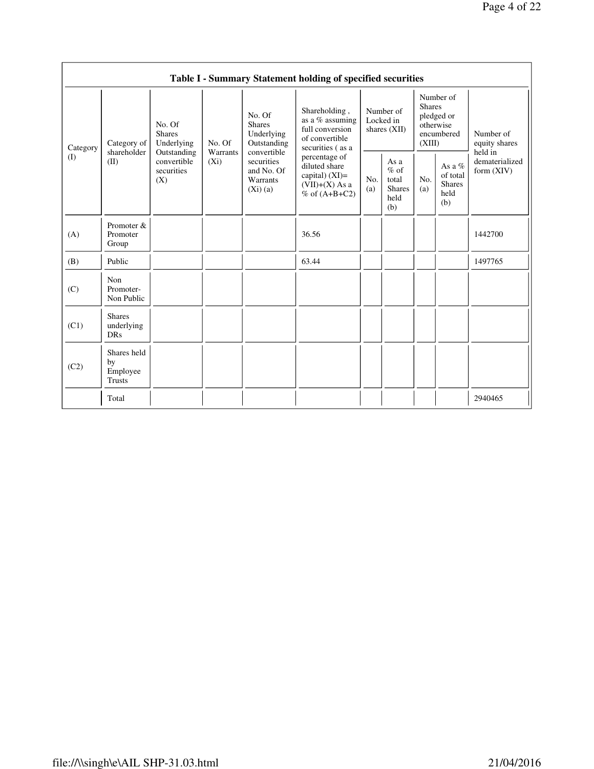|          |                                                |                                                 |                     |                                                                | Table I - Summary Statement holding of specified securities                                  |                                          |                                                         |                                                                               |                                                      |                                       |
|----------|------------------------------------------------|-------------------------------------------------|---------------------|----------------------------------------------------------------|----------------------------------------------------------------------------------------------|------------------------------------------|---------------------------------------------------------|-------------------------------------------------------------------------------|------------------------------------------------------|---------------------------------------|
| Category | Category of                                    | No. Of<br><b>Shares</b><br>Underlying           | No. Of              | No. Of<br><b>Shares</b><br>Underlying<br>Outstanding           | Shareholding,<br>as a % assuming<br>full conversion<br>of convertible<br>securities (as a    | Number of<br>Locked in<br>shares $(XII)$ |                                                         | Number of<br><b>Shares</b><br>pledged or<br>otherwise<br>encumbered<br>(XIII) |                                                      | Number of<br>equity shares<br>held in |
| (I)      | shareholder<br>(II)                            | Outstanding<br>convertible<br>securities<br>(X) | Warrants<br>$(X_i)$ | convertible<br>securities<br>and No. Of<br>Warrants<br>(Xi)(a) | percentage of<br>diluted share<br>capital) $(XI)$ =<br>$(VII)+(X)$ As a<br>$%$ of $(A+B+C2)$ | No.<br>(a)                               | As a<br>$%$ of<br>total<br><b>Shares</b><br>held<br>(b) | No.<br>(a)                                                                    | As a $%$<br>of total<br><b>Shares</b><br>held<br>(b) | dematerialized<br>form $(XIV)$        |
| (A)      | Promoter &<br>Promoter<br>Group                |                                                 |                     |                                                                | 36.56                                                                                        |                                          |                                                         |                                                                               |                                                      | 1442700                               |
| (B)      | Public                                         |                                                 |                     |                                                                | 63.44                                                                                        |                                          |                                                         |                                                                               |                                                      | 1497765                               |
| (C)      | Non<br>Promoter-<br>Non Public                 |                                                 |                     |                                                                |                                                                                              |                                          |                                                         |                                                                               |                                                      |                                       |
| (C1)     | <b>Shares</b><br>underlying<br>DRs             |                                                 |                     |                                                                |                                                                                              |                                          |                                                         |                                                                               |                                                      |                                       |
| (C2)     | Shares held<br>by<br>Employee<br><b>Trusts</b> |                                                 |                     |                                                                |                                                                                              |                                          |                                                         |                                                                               |                                                      |                                       |
|          | Total                                          |                                                 |                     |                                                                |                                                                                              |                                          |                                                         |                                                                               |                                                      | 2940465                               |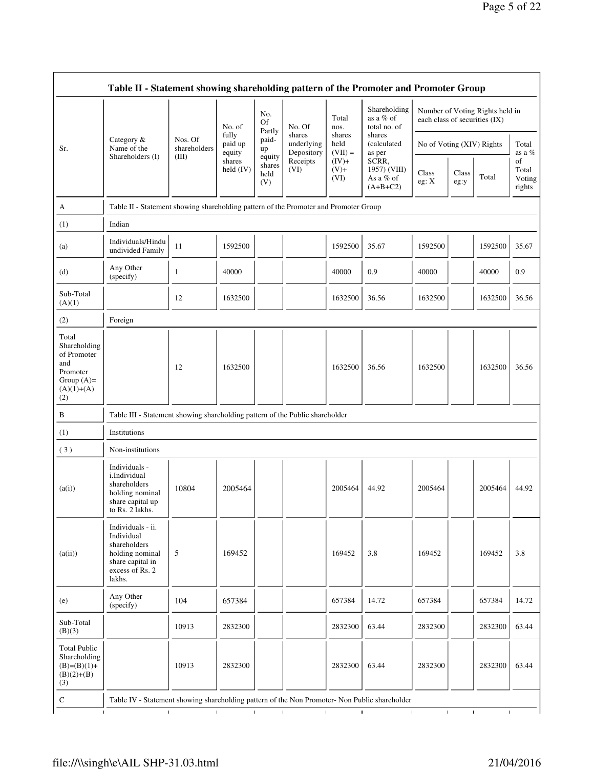$\overline{\phantom{0}}$ 

|                                                                                                | Table II - Statement showing shareholding pattern of the Promoter and Promoter Group                                |                                                                                      |                            |                                 |                                    |                             |                                                  |                               |                              |                                 |                                 |
|------------------------------------------------------------------------------------------------|---------------------------------------------------------------------------------------------------------------------|--------------------------------------------------------------------------------------|----------------------------|---------------------------------|------------------------------------|-----------------------------|--------------------------------------------------|-------------------------------|------------------------------|---------------------------------|---------------------------------|
|                                                                                                |                                                                                                                     |                                                                                      | No. of                     | No.<br><b>Of</b>                | No. Of                             | Total<br>nos.               | Shareholding<br>as a % of<br>total no. of        | each class of securities (IX) |                              | Number of Voting Rights held in |                                 |
| Sr.                                                                                            | Category $\&$<br>Name of the                                                                                        | Nos. Of<br>shareholders                                                              | fully<br>paid up<br>equity | Partly<br>paid-<br>up           | shares<br>underlying<br>Depository | shares<br>held<br>$(VII) =$ | shares<br>(calculated<br>as per                  | No of Voting (XIV) Rights     |                              |                                 | Total<br>as a %                 |
|                                                                                                | Shareholders (I)                                                                                                    | (III)                                                                                | shares<br>held $(IV)$      | equity<br>shares<br>held<br>(V) | Receipts<br>(VI)                   | $(IV)+$<br>$(V)$ +<br>(VI)  | SCRR,<br>1957) (VIII)<br>As a % of<br>$(A+B+C2)$ | Class<br>eg: X                | Class<br>eg:y                | Total                           | of<br>Total<br>Voting<br>rights |
| A                                                                                              |                                                                                                                     | Table II - Statement showing shareholding pattern of the Promoter and Promoter Group |                            |                                 |                                    |                             |                                                  |                               |                              |                                 |                                 |
| (1)                                                                                            | Indian                                                                                                              |                                                                                      |                            |                                 |                                    |                             |                                                  |                               |                              |                                 |                                 |
| (a)                                                                                            | Individuals/Hindu<br>undivided Family                                                                               | 11                                                                                   | 1592500                    |                                 |                                    | 1592500                     | 35.67                                            | 1592500                       |                              | 1592500                         | 35.67                           |
| (d)                                                                                            | Any Other<br>(specify)                                                                                              | 1                                                                                    | 40000                      |                                 |                                    | 40000                       | 0.9                                              | 40000                         |                              | 40000                           | 0.9                             |
| Sub-Total<br>(A)(1)                                                                            |                                                                                                                     | 12                                                                                   | 1632500                    |                                 |                                    | 1632500                     | 36.56                                            | 1632500                       |                              | 1632500                         | 36.56                           |
| (2)                                                                                            | Foreign                                                                                                             |                                                                                      |                            |                                 |                                    |                             |                                                  |                               |                              |                                 |                                 |
| Total<br>Shareholding<br>of Promoter<br>and<br>Promoter<br>Group $(A)=$<br>$(A)(1)+(A)$<br>(2) |                                                                                                                     | 12                                                                                   | 1632500                    |                                 |                                    | 1632500                     | 36.56                                            | 1632500                       |                              | 1632500                         | 36.56                           |
| B                                                                                              | Table III - Statement showing shareholding pattern of the Public shareholder                                        |                                                                                      |                            |                                 |                                    |                             |                                                  |                               |                              |                                 |                                 |
| (1)                                                                                            | Institutions                                                                                                        |                                                                                      |                            |                                 |                                    |                             |                                                  |                               |                              |                                 |                                 |
| (3)                                                                                            | Non-institutions                                                                                                    |                                                                                      |                            |                                 |                                    |                             |                                                  |                               |                              |                                 |                                 |
| (a(i))                                                                                         | Individuals -<br>i.Individual<br>shareholders<br>holding nominal<br>share capital up<br>to Rs. 2 lakhs.             | 10804                                                                                | 2005464                    |                                 |                                    | 2005464                     | 44.92                                            | 2005464                       |                              | 2005464                         | 44.92                           |
| (a(ii))                                                                                        | Individuals - ii.<br>Individual<br>shareholders<br>holding nominal<br>share capital in<br>excess of Rs. 2<br>lakhs. | 5                                                                                    | 169452                     |                                 |                                    | 169452                      | 3.8                                              | 169452                        |                              | 169452                          | 3.8                             |
| (e)                                                                                            | Any Other<br>(specify)                                                                                              | 104                                                                                  | 657384                     |                                 |                                    | 657384                      | 14.72                                            | 657384                        |                              | 657384                          | 14.72                           |
| Sub-Total<br>(B)(3)                                                                            |                                                                                                                     | 10913                                                                                | 2832300                    |                                 |                                    | 2832300                     | 63.44                                            | 2832300                       |                              | 2832300                         | 63.44                           |
| <b>Total Public</b><br>Shareholding<br>$(B)=(B)(1)+$<br>$(B)(2)+(B)$<br>(3)                    |                                                                                                                     | 10913                                                                                | 2832300                    |                                 |                                    | 2832300                     | 63.44                                            | 2832300                       |                              | 2832300                         | 63.44                           |
| ${\bf C}$                                                                                      | Table IV - Statement showing shareholding pattern of the Non Promoter- Non Public shareholder                       |                                                                                      |                            |                                 |                                    |                             |                                                  |                               |                              |                                 |                                 |
| $\mathbf{I}$                                                                                   | $\mathbf{I}$                                                                                                        | $\mathbf{I}$                                                                         |                            | $\mathbf{L}$                    | $\mathbf{L}$<br>$\mathbf{I}$       | $\mathbf I$                 |                                                  | $\mathbf{I}$                  | $\mathbf{I}$<br>$\mathbf{I}$ | $\mathbf{I}$                    |                                 |

F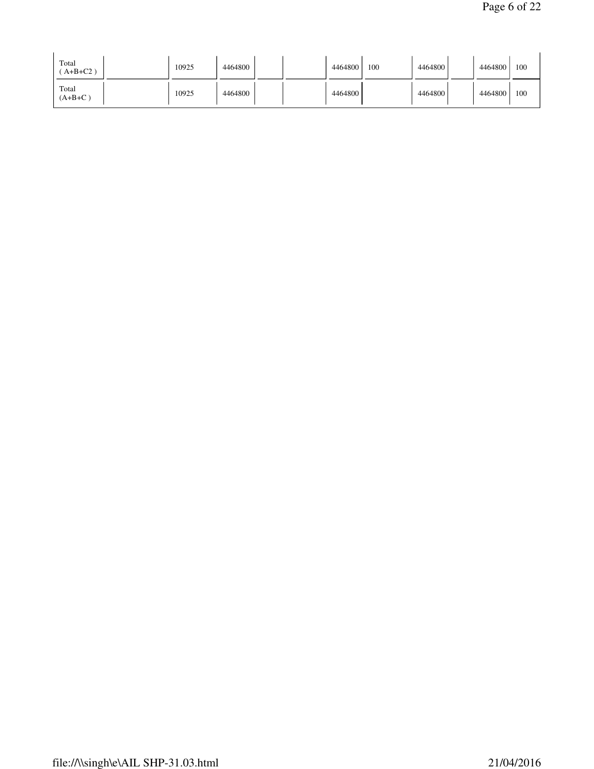| Total<br>$A+B+C2$ ) | 10925 | 4464800 |  | 4464800 | 100 | 4464800 | 4464800 | 100 |
|---------------------|-------|---------|--|---------|-----|---------|---------|-----|
| Total<br>$(A+B+C)$  | 10925 | 4464800 |  | 4464800 |     | 4464800 | 4464800 | 100 |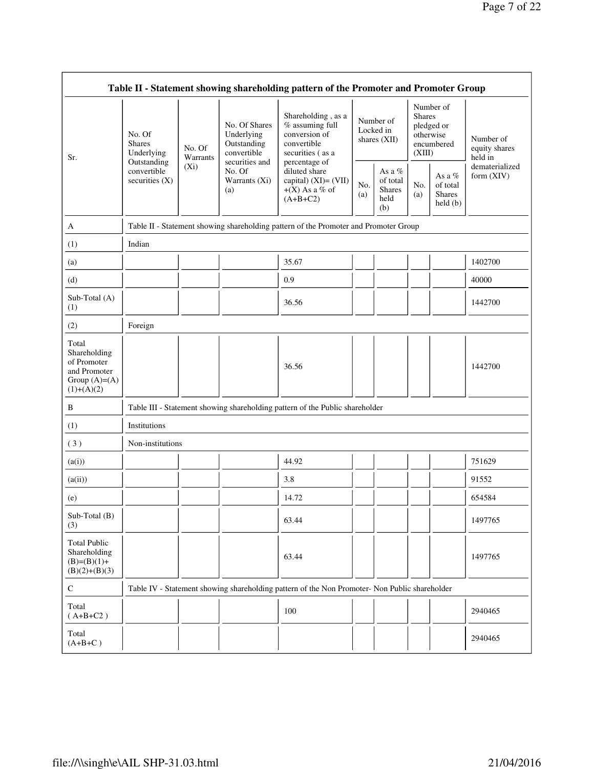|                                                                                         |                                                                                                               |                    |                                                                                          | Table II - Statement showing shareholding pattern of the Promoter and Promoter Group      |                                                      |                                          |                                                                               |                                |                                       |
|-----------------------------------------------------------------------------------------|---------------------------------------------------------------------------------------------------------------|--------------------|------------------------------------------------------------------------------------------|-------------------------------------------------------------------------------------------|------------------------------------------------------|------------------------------------------|-------------------------------------------------------------------------------|--------------------------------|---------------------------------------|
| Sr.                                                                                     | No. Of<br><b>Shares</b><br>Underlying                                                                         | No. Of<br>Warrants | No. Of Shares<br>Underlying<br>Outstanding<br>convertible                                | Shareholding, as a<br>% assuming full<br>conversion of<br>convertible<br>securities (as a |                                                      | Number of<br>Locked in<br>shares $(XII)$ | Number of<br><b>Shares</b><br>pledged or<br>otherwise<br>encumbered<br>(XIII) |                                | Number of<br>equity shares<br>held in |
|                                                                                         | securities and<br>Outstanding<br>$(X_i)$<br>convertible<br>No. Of<br>securities $(X)$<br>Warrants (Xi)<br>(a) |                    | percentage of<br>diluted share<br>capital) (XI)= (VII)<br>$+(X)$ As a % of<br>$(A+B+C2)$ | No.<br>(a)                                                                                | As a $%$<br>of total<br><b>Shares</b><br>held<br>(b) | No.<br>(a)                               | As a $%$<br>of total<br><b>Shares</b><br>held(b)                              | dematerialized<br>form $(XIV)$ |                                       |
| A                                                                                       |                                                                                                               |                    |                                                                                          | Table II - Statement showing shareholding pattern of the Promoter and Promoter Group      |                                                      |                                          |                                                                               |                                |                                       |
| (1)                                                                                     | Indian                                                                                                        |                    |                                                                                          |                                                                                           |                                                      |                                          |                                                                               |                                |                                       |
| (a)                                                                                     |                                                                                                               |                    |                                                                                          | 35.67                                                                                     |                                                      |                                          |                                                                               |                                | 1402700                               |
| (d)                                                                                     |                                                                                                               |                    |                                                                                          | 0.9                                                                                       |                                                      |                                          |                                                                               |                                | 40000                                 |
| Sub-Total (A)<br>(1)                                                                    |                                                                                                               |                    |                                                                                          | 36.56                                                                                     |                                                      |                                          |                                                                               |                                | 1442700                               |
| (2)                                                                                     | Foreign                                                                                                       |                    |                                                                                          |                                                                                           |                                                      |                                          |                                                                               |                                |                                       |
| Total<br>Shareholding<br>of Promoter<br>and Promoter<br>Group $(A)=(A)$<br>$(1)+(A)(2)$ |                                                                                                               |                    |                                                                                          | 36.56                                                                                     |                                                      |                                          |                                                                               |                                | 1442700                               |
| B                                                                                       |                                                                                                               |                    |                                                                                          | Table III - Statement showing shareholding pattern of the Public shareholder              |                                                      |                                          |                                                                               |                                |                                       |
| (1)                                                                                     | Institutions                                                                                                  |                    |                                                                                          |                                                                                           |                                                      |                                          |                                                                               |                                |                                       |
| (3)                                                                                     | Non-institutions                                                                                              |                    |                                                                                          |                                                                                           |                                                      |                                          |                                                                               |                                |                                       |
| (a(i))                                                                                  |                                                                                                               |                    |                                                                                          | 44.92                                                                                     |                                                      |                                          |                                                                               |                                | 751629                                |
| (a(ii))                                                                                 |                                                                                                               |                    |                                                                                          | 3.8                                                                                       |                                                      |                                          |                                                                               |                                | 91552                                 |
| (e)                                                                                     |                                                                                                               |                    |                                                                                          | 14.72                                                                                     |                                                      |                                          |                                                                               |                                | 654584                                |
| Sub-Total (B)<br>(3)                                                                    |                                                                                                               |                    |                                                                                          | 63.44                                                                                     |                                                      |                                          |                                                                               |                                | 1497765                               |
| <b>Total Public</b><br>Shareholding<br>$(B)=(B)(1)+$<br>$(B)(2)+(B)(3)$                 |                                                                                                               |                    |                                                                                          | 63.44                                                                                     |                                                      |                                          |                                                                               |                                | 1497765                               |
| $\mathsf C$                                                                             | Table IV - Statement showing shareholding pattern of the Non Promoter- Non Public shareholder                 |                    |                                                                                          |                                                                                           |                                                      |                                          |                                                                               |                                |                                       |
| Total<br>$(A+B+C2)$                                                                     |                                                                                                               |                    |                                                                                          | 100                                                                                       |                                                      |                                          |                                                                               |                                | 2940465                               |
| Total<br>$(A+B+C)$                                                                      |                                                                                                               |                    |                                                                                          |                                                                                           |                                                      |                                          |                                                                               |                                | 2940465                               |

 $\blacksquare$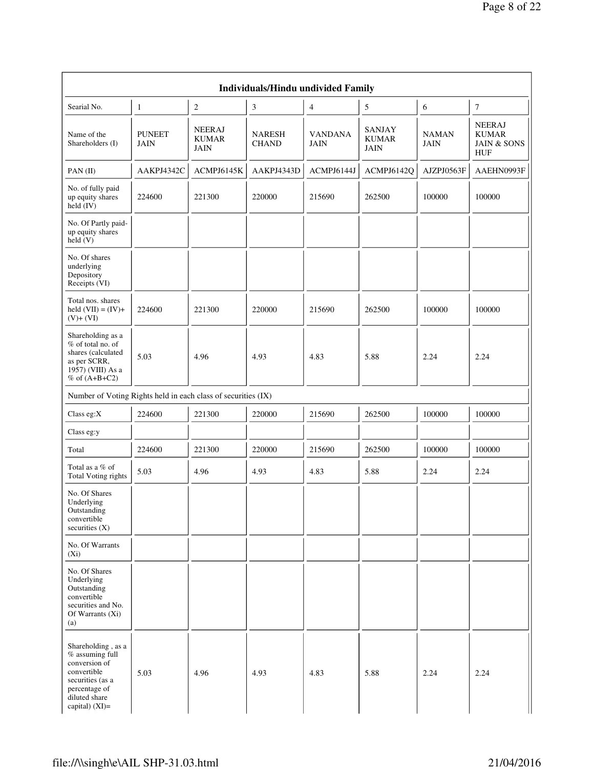|                                                                                                                                                  |                       |                                       | <b>Individuals/Hindu undivided Family</b> |                        |                                       |                             |                                                                |
|--------------------------------------------------------------------------------------------------------------------------------------------------|-----------------------|---------------------------------------|-------------------------------------------|------------------------|---------------------------------------|-----------------------------|----------------------------------------------------------------|
| Searial No.                                                                                                                                      | 1                     | $\boldsymbol{2}$                      | 3                                         | $\overline{4}$         | 5                                     | 6                           | 7                                                              |
| Name of the<br>Shareholders (I)                                                                                                                  | <b>PUNEET</b><br>JAIN | <b>NEERAJ</b><br><b>KUMAR</b><br>JAIN | <b>NARESH</b><br><b>CHAND</b>             | <b>VANDANA</b><br>JAIN | SANJAY<br><b>KUMAR</b><br><b>JAIN</b> | <b>NAMAN</b><br><b>JAIN</b> | <b>NEERAJ</b><br><b>KUMAR</b><br><b>JAIN &amp; SONS</b><br>HUF |
| $PAN$ (II)                                                                                                                                       | AAKPJ4342C            | ACMPJ6145K                            | AAKPJ4343D                                | ACMPJ6144J             | ACMPJ6142Q                            | AJZPJ0563F                  | AAEHN0993F                                                     |
| No. of fully paid<br>up equity shares<br>held (IV)                                                                                               | 224600                | 221300                                | 220000                                    | 215690                 | 262500                                | 100000                      | 100000                                                         |
| No. Of Partly paid-<br>up equity shares<br>held(V)                                                                                               |                       |                                       |                                           |                        |                                       |                             |                                                                |
| No. Of shares<br>underlying<br>Depository<br>Receipts (VI)                                                                                       |                       |                                       |                                           |                        |                                       |                             |                                                                |
| Total nos. shares<br>held $(VII) = (IV) +$<br>$(V) + (VI)$                                                                                       | 224600                | 221300                                | 220000                                    | 215690                 | 262500                                | 100000                      | 100000                                                         |
| Shareholding as a<br>% of total no. of<br>shares (calculated<br>as per SCRR,<br>1957) (VIII) As a<br>$%$ of $(A+B+C2)$                           | 5.03                  | 4.96                                  | 4.93                                      | 4.83                   | 5.88                                  | 2.24                        | 2.24                                                           |
| Number of Voting Rights held in each class of securities (IX)                                                                                    |                       |                                       |                                           |                        |                                       |                             |                                                                |
| Class eg: $X$                                                                                                                                    | 224600                | 221300                                | 220000                                    | 215690                 | 262500                                | 100000                      | 100000                                                         |
| Class eg:y                                                                                                                                       |                       |                                       |                                           |                        |                                       |                             |                                                                |
| Total                                                                                                                                            | 224600                | 221300                                | 220000                                    | 215690                 | 262500                                | 100000                      | 100000                                                         |
| Total as a % of<br>Total Voting rights                                                                                                           | 5.03                  | 4.96                                  | 4.93                                      | 4.83                   | 5.88                                  | 2.24                        | 2.24                                                           |
| No. Of Shares<br>Underlying<br>Outstanding<br>convertible<br>securities $(X)$                                                                    |                       |                                       |                                           |                        |                                       |                             |                                                                |
| No. Of Warrants<br>$(X_i)$                                                                                                                       |                       |                                       |                                           |                        |                                       |                             |                                                                |
| No. Of Shares<br>Underlying<br>Outstanding<br>convertible<br>securities and No.<br>Of Warrants (Xi)<br>(a)                                       |                       |                                       |                                           |                        |                                       |                             |                                                                |
| Shareholding, as a<br>% assuming full<br>conversion of<br>convertible<br>securities (as a<br>percentage of<br>diluted share<br>capital) $(XI)$ = | 5.03                  | 4.96                                  | 4.93                                      | 4.83                   | 5.88                                  | 2.24                        | 2.24                                                           |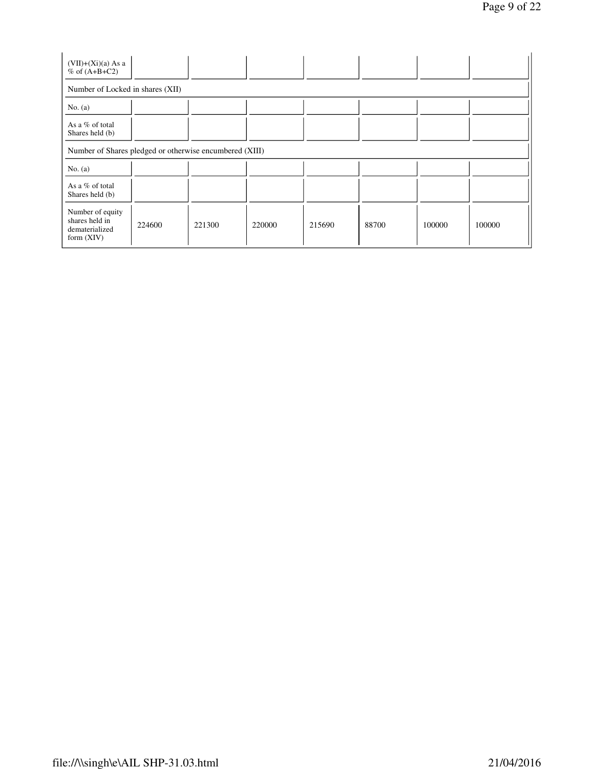| $(VII)+(Xi)(a) As a$<br>$%$ of $(A+B+C2)$                            |        |        |        |        |       |        |        |
|----------------------------------------------------------------------|--------|--------|--------|--------|-------|--------|--------|
| Number of Locked in shares (XII)                                     |        |        |        |        |       |        |        |
| No. $(a)$                                                            |        |        |        |        |       |        |        |
| As a $%$ of total<br>Shares held (b)                                 |        |        |        |        |       |        |        |
| Number of Shares pledged or otherwise encumbered (XIII)              |        |        |        |        |       |        |        |
| No. $(a)$                                                            |        |        |        |        |       |        |        |
| As a % of total<br>Shares held (b)                                   |        |        |        |        |       |        |        |
| Number of equity<br>shares held in<br>dematerialized<br>form $(XIV)$ | 224600 | 221300 | 220000 | 215690 | 88700 | 100000 | 100000 |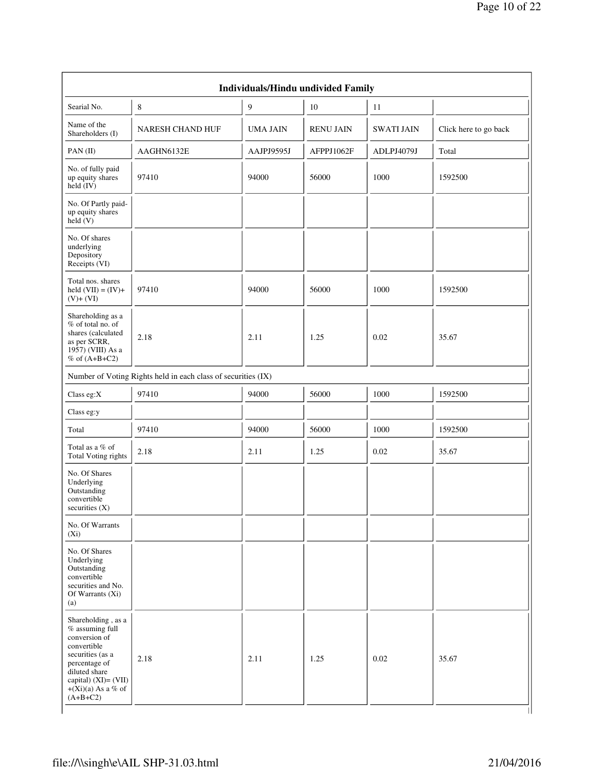| Searial No.                                                                                                                                                                      | 8                                                             | $\overline{9}$  | 10               | 11                |                       |
|----------------------------------------------------------------------------------------------------------------------------------------------------------------------------------|---------------------------------------------------------------|-----------------|------------------|-------------------|-----------------------|
| Name of the<br>Shareholders (I)                                                                                                                                                  | <b>NARESH CHAND HUF</b>                                       | <b>UMA JAIN</b> | <b>RENU JAIN</b> | <b>SWATI JAIN</b> | Click here to go back |
| PAN(II)                                                                                                                                                                          | AAGHN6132E                                                    | AAJPJ9595J      | AFPPJ1062F       | ADLPJ4079J        | Total                 |
| No. of fully paid<br>up equity shares<br>$\text{held} (IV)$                                                                                                                      | 97410                                                         | 94000           | 56000            | 1000              | 1592500               |
| No. Of Partly paid-<br>up equity shares<br>$\text{held}(V)$                                                                                                                      |                                                               |                 |                  |                   |                       |
| No. Of shares<br>underlying<br>Depository<br>Receipts (VI)                                                                                                                       |                                                               |                 |                  |                   |                       |
| Total nos. shares<br>held $(VII) = (IV) +$<br>$(V)$ + $(VI)$                                                                                                                     | 97410                                                         | 94000           | 56000            | 1000              | 1592500               |
| Shareholding as a<br>$%$ of total no. of<br>shares (calculated<br>as per SCRR,<br>1957) (VIII) As a<br>$%$ of $(A+B+C2)$                                                         | 2.18                                                          | 2.11            | 1.25             | 0.02              | 35.67                 |
|                                                                                                                                                                                  | Number of Voting Rights held in each class of securities (IX) |                 |                  |                   |                       |
| Class eg: $X$                                                                                                                                                                    | 97410                                                         | 94000           | 56000            | 1000              | 1592500               |
| Class eg:y                                                                                                                                                                       |                                                               |                 |                  |                   |                       |
| Total                                                                                                                                                                            | 97410                                                         | 94000           | 56000            | 1000              | 1592500               |
| Total as a % of<br>Total Voting rights                                                                                                                                           | 2.18                                                          | 2.11            | 1.25             | $0.02\,$          | 35.67                 |
| No. Of Shares<br>Underlying<br>Outstanding<br>convertible<br>securities (X)                                                                                                      |                                                               |                 |                  |                   |                       |
| No. Of Warrants<br>$(X_i)$                                                                                                                                                       |                                                               |                 |                  |                   |                       |
| No. Of Shares<br>Underlying<br>Outstanding<br>convertible<br>securities and No.<br>Of Warrants (Xi)<br>(a)                                                                       |                                                               |                 |                  |                   |                       |
| Shareholding, as a<br>$%$ assuming full<br>conversion of<br>convertible<br>securities (as a<br>percentage of<br>diluted share<br>capital) $(XI) = (VII)$<br>$+(Xi)(a)$ As a % of | 2.18                                                          | 2.11            | 1.25             | 0.02              | 35.67                 |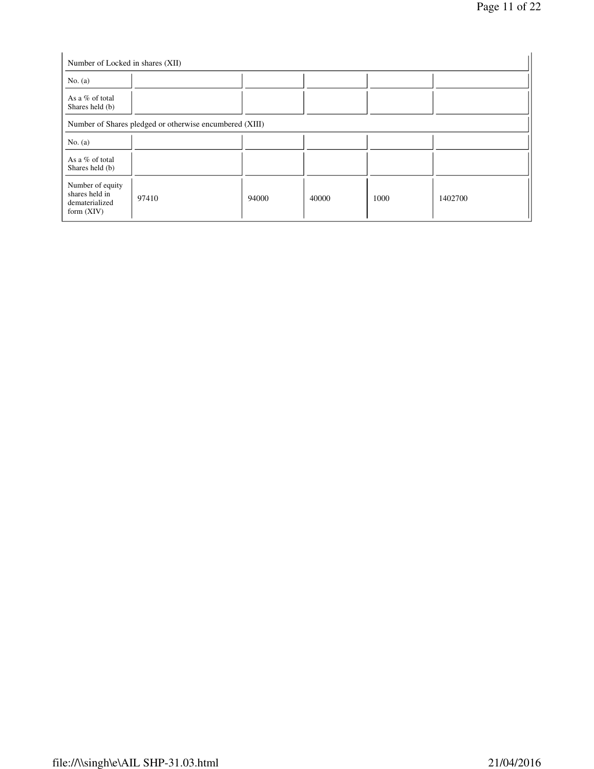| Number of Locked in shares (XII)                                     |                                                         |       |       |      |         |
|----------------------------------------------------------------------|---------------------------------------------------------|-------|-------|------|---------|
| No. $(a)$                                                            |                                                         |       |       |      |         |
| As a % of total<br>Shares held (b)                                   |                                                         |       |       |      |         |
|                                                                      | Number of Shares pledged or otherwise encumbered (XIII) |       |       |      |         |
| No. $(a)$                                                            |                                                         |       |       |      |         |
| As a % of total<br>Shares held (b)                                   |                                                         |       |       |      |         |
| Number of equity<br>shares held in<br>dematerialized<br>form $(XIV)$ | 97410                                                   | 94000 | 40000 | 1000 | 1402700 |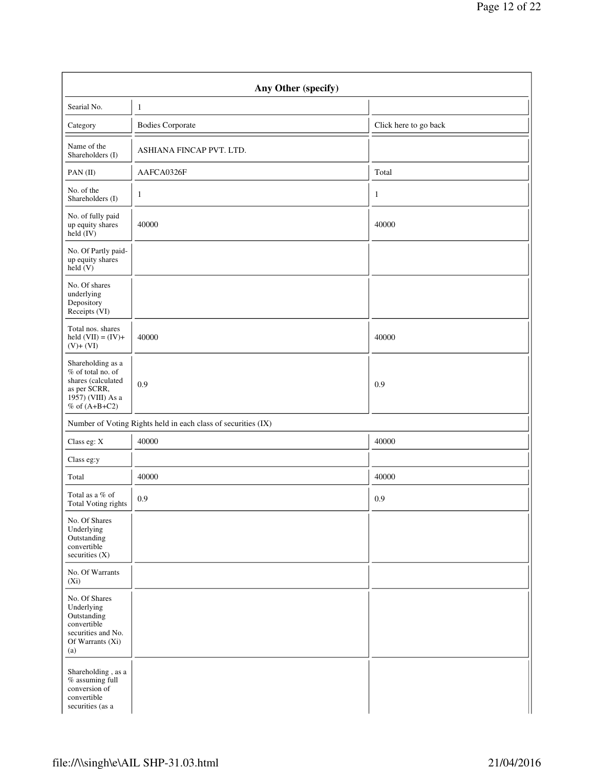|                                                                                                                      | Any Other (specify)                                           |                       |
|----------------------------------------------------------------------------------------------------------------------|---------------------------------------------------------------|-----------------------|
| Searial No.                                                                                                          | $\mathbf{1}$                                                  |                       |
| Category                                                                                                             | <b>Bodies Corporate</b>                                       | Click here to go back |
| Name of the<br>Shareholders (I)                                                                                      | ASHIANA FINCAP PVT. LTD.                                      |                       |
| $PAN$ (II)                                                                                                           | AAFCA0326F                                                    | Total                 |
| No. of the<br>Shareholders (I)                                                                                       | $\mathbf{1}$                                                  | $\mathbf{1}$          |
| No. of fully paid<br>up equity shares<br>$\text{held} (IV)$                                                          | 40000                                                         | 40000                 |
| No. Of Partly paid-<br>up equity shares<br>held $(V)$                                                                |                                                               |                       |
| No. Of shares<br>underlying<br>Depository<br>Receipts (VI)                                                           |                                                               |                       |
| Total nos. shares<br>held $(VII) = (IV) +$<br>$(V)+(VI)$                                                             | 40000                                                         | 40000                 |
| Shareholding as a<br>% of total no. of<br>shares (calculated<br>as per SCRR,<br>1957) (VIII) As a<br>% of $(A+B+C2)$ | 0.9                                                           | 0.9                   |
|                                                                                                                      | Number of Voting Rights held in each class of securities (IX) |                       |
| Class eg: X                                                                                                          | 40000                                                         | 40000                 |
| Class eg:y                                                                                                           |                                                               |                       |
| Total                                                                                                                | 40000                                                         | 40000                 |
| Total as a % of<br>Total Voting rights                                                                               | 0.9                                                           | 0.9                   |
| No. Of Shares<br>Underlying<br>Outstanding<br>convertible<br>securities (X)                                          |                                                               |                       |
| No. Of Warrants<br>$(X_i)$                                                                                           |                                                               |                       |
| No. Of Shares<br>Underlying<br>Outstanding<br>convertible<br>securities and No.<br>Of Warrants (Xi)<br>(a)           |                                                               |                       |
| Shareholding, as a<br>$%$ assuming full<br>conversion of<br>convertible<br>securities (as a                          |                                                               |                       |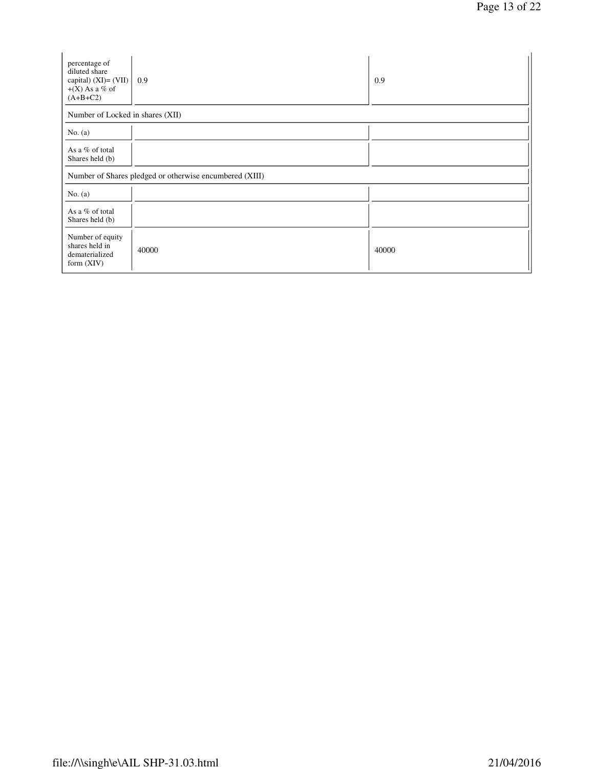| percentage of<br>diluted share<br>capital) $(XI) = (VII)$<br>$+(X)$ As a % of<br>$(A+B+C2)$ | 0.9                                                     | 0.9   |
|---------------------------------------------------------------------------------------------|---------------------------------------------------------|-------|
| Number of Locked in shares (XII)                                                            |                                                         |       |
| No. $(a)$                                                                                   |                                                         |       |
| As a % of total<br>Shares held (b)                                                          |                                                         |       |
|                                                                                             | Number of Shares pledged or otherwise encumbered (XIII) |       |
| No. $(a)$                                                                                   |                                                         |       |
| As a % of total<br>Shares held (b)                                                          |                                                         |       |
| Number of equity<br>shares held in<br>dematerialized<br>form $(XIV)$                        | 40000                                                   | 40000 |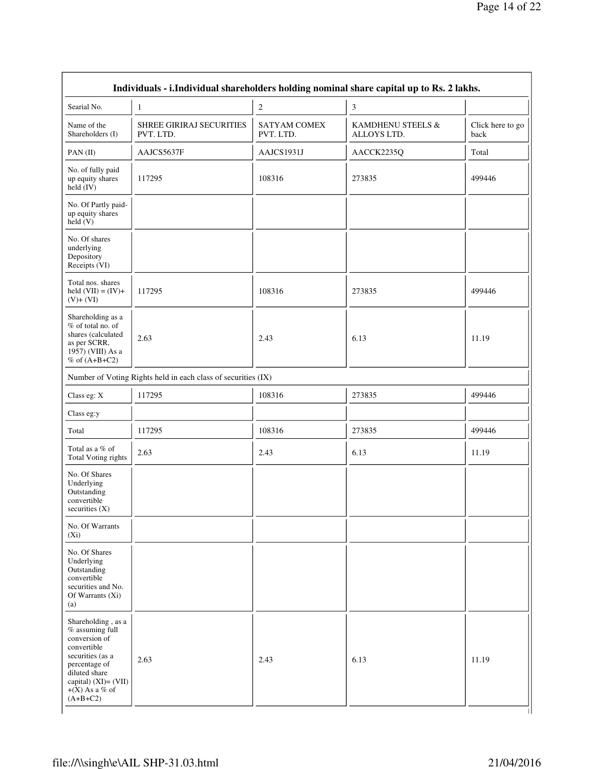| Searial No.                                                                                                                                                                                | $\mathbf{1}$                                                  | $\boldsymbol{2}$                 | $\mathfrak{Z}$                   |                          |
|--------------------------------------------------------------------------------------------------------------------------------------------------------------------------------------------|---------------------------------------------------------------|----------------------------------|----------------------------------|--------------------------|
| Name of the<br>Shareholders (I)                                                                                                                                                            | SHREE GIRIRAJ SECURITIES<br>PVT. LTD.                         | <b>SATYAM COMEX</b><br>PVT. LTD. | KAMDHENU STEELS &<br>ALLOYS LTD. | Click here to go<br>back |
| PAN(II)                                                                                                                                                                                    | AAJCS5637F                                                    | AAJCS1931J                       | AACCK2235Q                       | Total                    |
| No. of fully paid<br>up equity shares<br>$\text{held} (IV)$                                                                                                                                | 117295                                                        | 108316                           | 273835                           | 499446                   |
| No. Of Partly paid-<br>up equity shares<br>held(V)                                                                                                                                         |                                                               |                                  |                                  |                          |
| No. Of shares<br>underlying<br>Depository<br>Receipts (VI)                                                                                                                                 |                                                               |                                  |                                  |                          |
| Total nos. shares<br>held $(VII) = (IV) +$<br>$(V)+(VI)$                                                                                                                                   | 117295                                                        | 108316                           | 273835                           | 499446                   |
| Shareholding as a<br>% of total no. of<br>shares (calculated<br>as per SCRR,<br>1957) (VIII) As a<br>% of $(A+B+C2)$                                                                       | 2.63                                                          | 2.43                             | 6.13                             | 11.19                    |
|                                                                                                                                                                                            | Number of Voting Rights held in each class of securities (IX) |                                  |                                  |                          |
| Class eg: X                                                                                                                                                                                | 117295                                                        | 108316                           | 273835                           | 499446                   |
| Class eg:y                                                                                                                                                                                 |                                                               |                                  |                                  |                          |
| Total                                                                                                                                                                                      | 117295                                                        | 108316                           | 273835                           | 499446                   |
| Total as a % of<br>Total Voting rights                                                                                                                                                     | 2.63                                                          | 2.43                             | 6.13                             | 11.19                    |
| No. Of Shares<br>Underlying<br>Outstanding<br>convertible<br>securities $(X)$                                                                                                              |                                                               |                                  |                                  |                          |
| No. Of Warrants<br>$(X_i)$                                                                                                                                                                 |                                                               |                                  |                                  |                          |
| No. Of Shares<br>Underlying<br>Outstanding<br>convertible<br>securities and No.<br>Of Warrants (Xi)<br>(a)                                                                                 |                                                               |                                  |                                  |                          |
| Shareholding, as a<br>$%$ assuming full<br>conversion of<br>convertible<br>securities (as a<br>percentage of<br>diluted share<br>capital) $(XI) = (VII)$<br>$+(X)$ As a % of<br>$(A+B+C2)$ | 2.63                                                          | 2.43                             | 6.13                             | 11.19                    |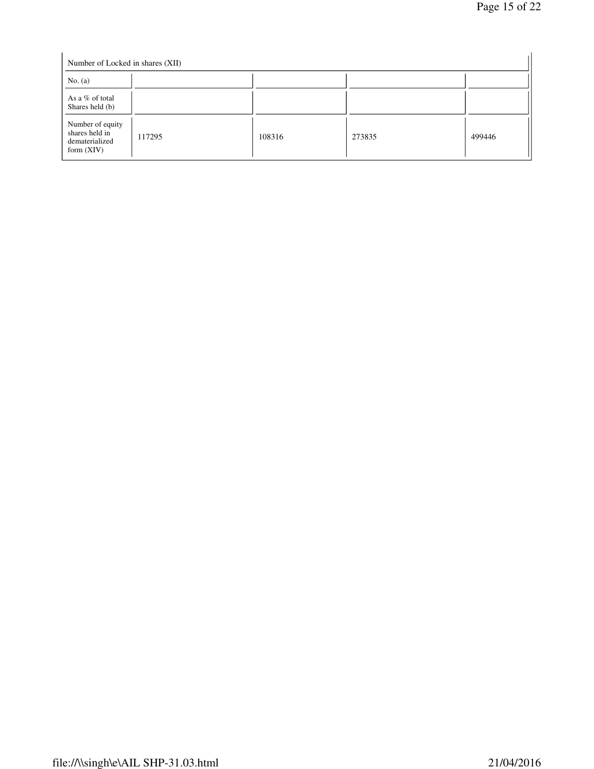| Number of Locked in shares (XII)                                     |        |        |        |        |
|----------------------------------------------------------------------|--------|--------|--------|--------|
| No. $(a)$                                                            |        |        |        |        |
| As a % of total<br>Shares held (b)                                   |        |        |        |        |
| Number of equity<br>shares held in<br>dematerialized<br>form $(XIV)$ | 117295 | 108316 | 273835 | 499446 |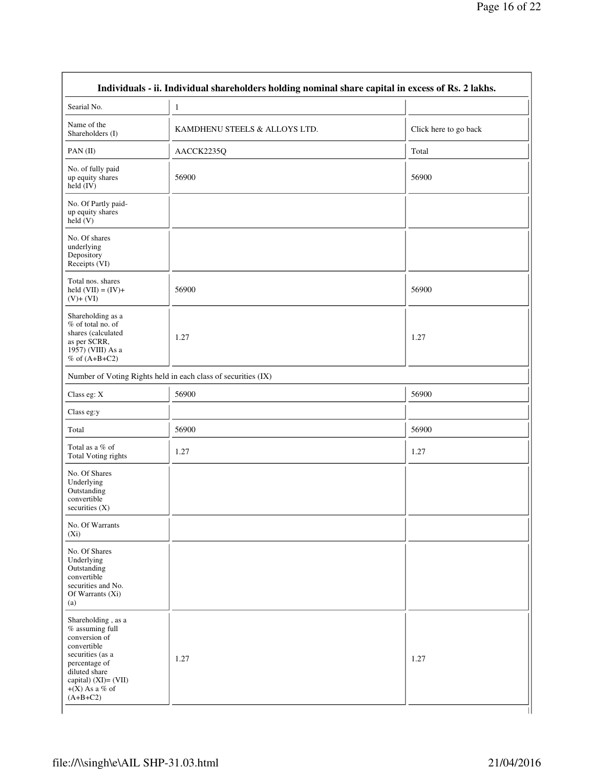| Searial No.                                                                                                                                                                             | $\mathbf{1}$                                                  |                       |
|-----------------------------------------------------------------------------------------------------------------------------------------------------------------------------------------|---------------------------------------------------------------|-----------------------|
| Name of the<br>Shareholders (I)                                                                                                                                                         | KAMDHENU STEELS & ALLOYS LTD.                                 | Click here to go back |
| PAN(II)                                                                                                                                                                                 | AACCK2235Q                                                    | Total                 |
| No. of fully paid<br>up equity shares<br>$held$ (IV)                                                                                                                                    | 56900                                                         | 56900                 |
| No. Of Partly paid-<br>up equity shares<br>held(V)                                                                                                                                      |                                                               |                       |
| No. Of shares<br>underlying<br>Depository<br>Receipts (VI)                                                                                                                              |                                                               |                       |
| Total nos. shares<br>held $(VII) = (IV) +$<br>$(V)+(VI)$                                                                                                                                | 56900                                                         | 56900                 |
| Shareholding as a<br>% of total no. of<br>shares (calculated<br>as per SCRR,<br>1957) (VIII) As a<br>$%$ of $(A+B+C2)$                                                                  | 1.27                                                          | 1.27                  |
|                                                                                                                                                                                         | Number of Voting Rights held in each class of securities (IX) |                       |
| Class eg: X                                                                                                                                                                             | 56900                                                         | 56900                 |
| Class eg:y                                                                                                                                                                              |                                                               |                       |
| Total                                                                                                                                                                                   | 56900                                                         | 56900                 |
| Total as a % of<br>Total Voting rights                                                                                                                                                  | 1.27                                                          | 1.27                  |
| No. Of Shares<br>Underlying<br>Outstanding<br>convertible<br>securities $(X)$                                                                                                           |                                                               |                       |
| No. Of Warrants<br>$(X_i)$                                                                                                                                                              |                                                               |                       |
| No. Of Shares<br>Underlying<br>Outstanding<br>convertible<br>securities and No.<br>Of Warrants (Xi)<br>(a)                                                                              |                                                               |                       |
| Shareholding, as a<br>$%$ assuming full<br>conversion of<br>convertible<br>securities (as a<br>percentage of<br>diluted share<br>capital) (XI)= (VII)<br>$+(X)$ As a % of<br>$(A+B+C2)$ | 1.27                                                          | 1.27                  |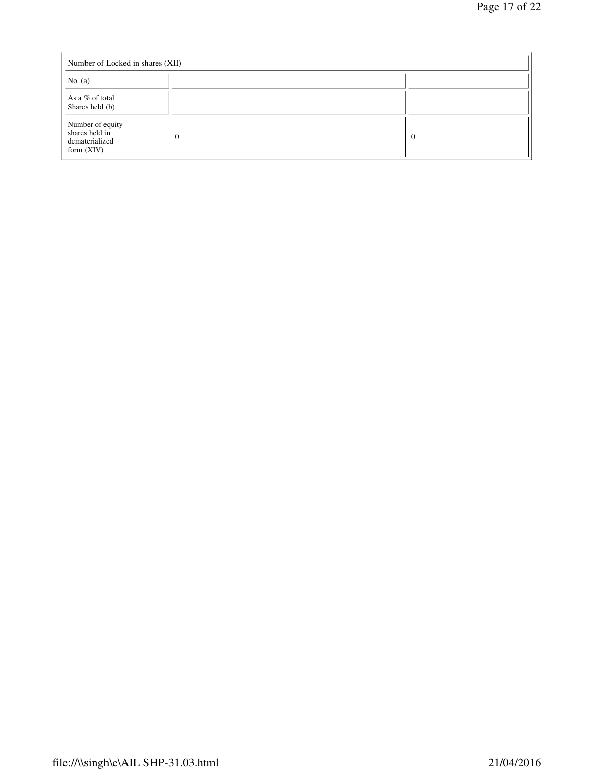| Number of Locked in shares (XII)                                     |                |                |  |  |
|----------------------------------------------------------------------|----------------|----------------|--|--|
| No. $(a)$                                                            |                |                |  |  |
| As a % of total<br>Shares held (b)                                   |                |                |  |  |
| Number of equity<br>shares held in<br>dematerialized<br>form $(XIV)$ | $\overline{0}$ | $\overline{0}$ |  |  |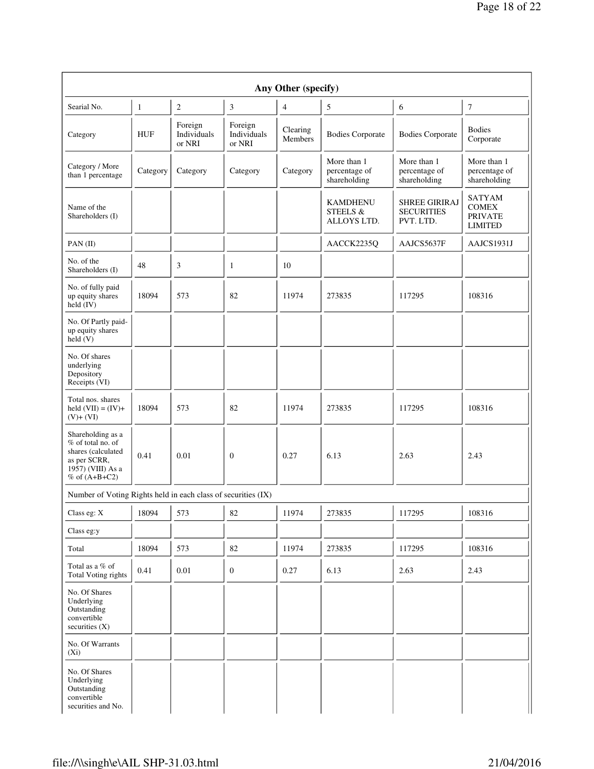| Any Other (specify)                                                                                                    |              |                                  |                                  |                     |                                                       |                                                        |                                                                   |
|------------------------------------------------------------------------------------------------------------------------|--------------|----------------------------------|----------------------------------|---------------------|-------------------------------------------------------|--------------------------------------------------------|-------------------------------------------------------------------|
| Searial No.                                                                                                            | $\mathbf{1}$ | $\mathfrak{2}$                   | 3                                | 4                   | 5                                                     | 6                                                      | 7                                                                 |
| Category                                                                                                               | <b>HUF</b>   | Foreign<br>Individuals<br>or NRI | Foreign<br>Individuals<br>or NRI | Clearing<br>Members | <b>Bodies Corporate</b>                               | <b>Bodies Corporate</b>                                | <b>Bodies</b><br>Corporate                                        |
| Category / More<br>than 1 percentage                                                                                   | Category     | Category                         | Category                         | Category            | More than 1<br>percentage of<br>shareholding          | More than 1<br>percentage of<br>shareholding           | More than 1<br>percentage of<br>shareholding                      |
| Name of the<br>Shareholders (I)                                                                                        |              |                                  |                                  |                     | <b>KAMDHENU</b><br><b>STEELS &amp;</b><br>ALLOYS LTD. | <b>SHREE GIRIRAJ</b><br><b>SECURITIES</b><br>PVT. LTD. | <b>SATYAM</b><br><b>COMEX</b><br><b>PRIVATE</b><br><b>LIMITED</b> |
| $PAN$ (II)                                                                                                             |              |                                  |                                  |                     | AACCK2235Q                                            | AAJCS5637F                                             | AAJCS1931J                                                        |
| No. of the<br>Shareholders (I)                                                                                         | 48           | 3                                | 1                                | 10                  |                                                       |                                                        |                                                                   |
| No. of fully paid<br>up equity shares<br>held $(IV)$                                                                   | 18094        | 573                              | 82                               | 11974               | 273835                                                | 117295                                                 | 108316                                                            |
| No. Of Partly paid-<br>up equity shares<br>held(V)                                                                     |              |                                  |                                  |                     |                                                       |                                                        |                                                                   |
| No. Of shares<br>underlying<br>Depository<br>Receipts (VI)                                                             |              |                                  |                                  |                     |                                                       |                                                        |                                                                   |
| Total nos. shares<br>held $(VII) = (IV) +$<br>$(V)$ + $(VI)$                                                           | 18094        | 573                              | 82                               | 11974               | 273835                                                | 117295                                                 | 108316                                                            |
| Shareholding as a<br>% of total no. of<br>shares (calculated<br>as per SCRR,<br>1957) (VIII) As a<br>$%$ of $(A+B+C2)$ | 0.41         | 0.01                             | $\boldsymbol{0}$                 | 0.27                | 6.13                                                  | 2.63                                                   | 2.43                                                              |
| Number of Voting Rights held in each class of securities (IX)                                                          |              |                                  |                                  |                     |                                                       |                                                        |                                                                   |
| Class eg: X                                                                                                            | 18094        | 573                              | 82                               | 11974               | $\mathbf{I}$<br>273835                                | $\mathbf{I}$<br>117295                                 | 108316                                                            |
| Class eg:y                                                                                                             |              |                                  |                                  |                     |                                                       |                                                        |                                                                   |
| Total                                                                                                                  | 18094        | 573                              | 82                               | 11974               | 273835                                                | 117295                                                 | 108316                                                            |
| Total as a % of<br>Total Voting rights                                                                                 | 0.41         | 0.01                             | $\mathbf{0}$                     | 0.27                | 6.13                                                  | 2.63                                                   | 2.43                                                              |
| No. Of Shares<br>Underlying<br>Outstanding<br>convertible<br>securities $(X)$                                          |              |                                  |                                  |                     |                                                       |                                                        |                                                                   |
| No. Of Warrants<br>$(X_i)$                                                                                             |              |                                  |                                  |                     |                                                       |                                                        |                                                                   |
| No. Of Shares<br>Underlying<br>Outstanding<br>convertible<br>securities and No.                                        |              |                                  |                                  |                     |                                                       |                                                        |                                                                   |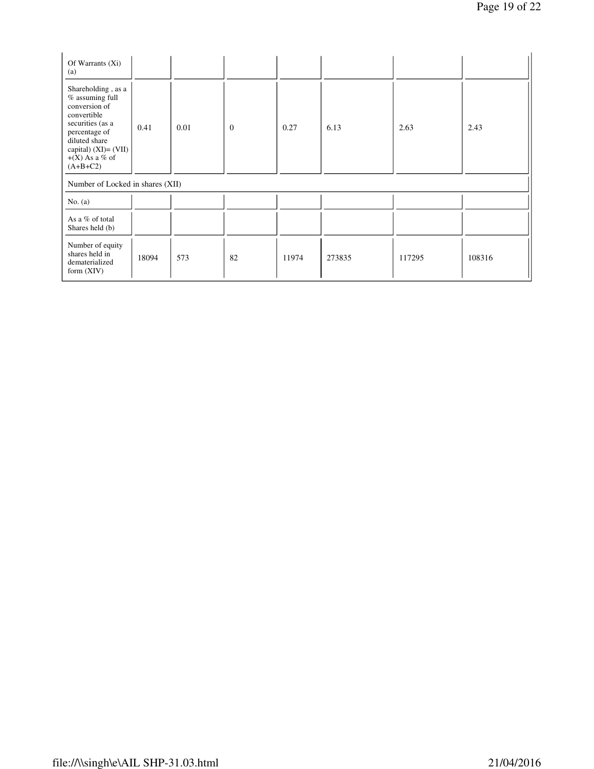| Of Warrants $(X_i)$<br>(a)                                                                                                                                                                 |       |      |              |       |        |        |        |
|--------------------------------------------------------------------------------------------------------------------------------------------------------------------------------------------|-------|------|--------------|-------|--------|--------|--------|
| Shareholding, as a<br>$%$ assuming full<br>conversion of<br>convertible<br>securities (as a<br>percentage of<br>diluted share<br>capital) $(XI) = (VII)$<br>$+(X)$ As a % of<br>$(A+B+C2)$ | 0.41  | 0.01 | $\mathbf{0}$ | 0.27  | 6.13   | 2.63   | 2.43   |
| Number of Locked in shares (XII)                                                                                                                                                           |       |      |              |       |        |        |        |
| No. $(a)$                                                                                                                                                                                  |       |      |              |       |        |        |        |
| As a % of total<br>Shares held (b)                                                                                                                                                         |       |      |              |       |        |        |        |
| Number of equity<br>shares held in<br>dematerialized<br>form $(XIV)$                                                                                                                       | 18094 | 573  | 82           | 11974 | 273835 | 117295 | 108316 |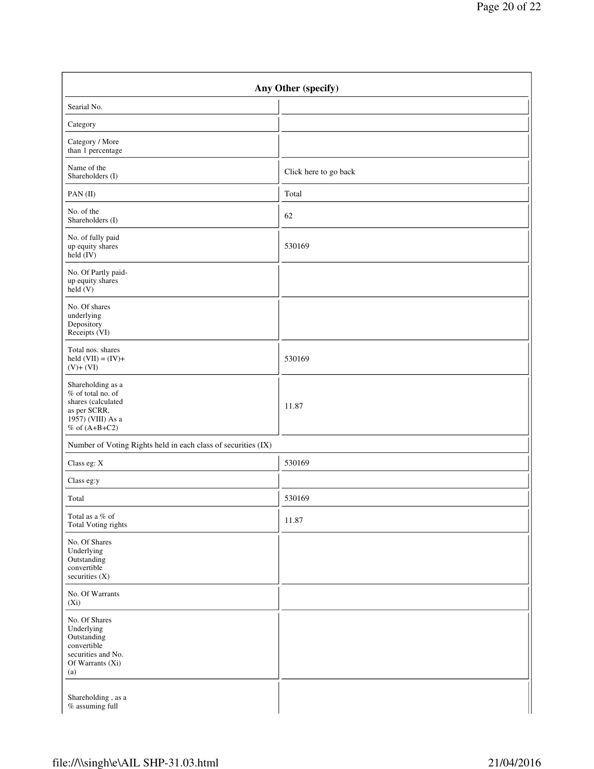| Any Other (specify)                                                                                                    |                       |  |  |  |
|------------------------------------------------------------------------------------------------------------------------|-----------------------|--|--|--|
| Searial No.                                                                                                            |                       |  |  |  |
| Category                                                                                                               |                       |  |  |  |
| Category / More<br>than 1 percentage                                                                                   |                       |  |  |  |
| Name of the<br>Shareholders (I)                                                                                        | Click here to go back |  |  |  |
| $PAN$ (II)                                                                                                             | Total                 |  |  |  |
| No. of the<br>Shareholders (I)                                                                                         | 62                    |  |  |  |
| No. of fully paid<br>up equity shares<br>held (IV)                                                                     | 530169                |  |  |  |
| No. Of Partly paid-<br>up equity shares<br>held(V)                                                                     |                       |  |  |  |
| No. Of shares<br>underlying<br>Depository<br>Receipts (VI)                                                             |                       |  |  |  |
| Total nos. shares<br>held $(VII) = (IV) +$<br>$(V)$ + $(VI)$                                                           | 530169                |  |  |  |
| Shareholding as a<br>% of total no. of<br>shares (calculated<br>as per SCRR,<br>1957) (VIII) As a<br>$%$ of $(A+B+C2)$ | 11.87                 |  |  |  |
| Number of Voting Rights held in each class of securities (IX)                                                          |                       |  |  |  |
| Class eg: X                                                                                                            | 530169                |  |  |  |
| Class eg:y                                                                                                             |                       |  |  |  |
| Total                                                                                                                  | 530169                |  |  |  |
| Total as a $\%$ of<br>Total Voting rights                                                                              | 11.87                 |  |  |  |
| No. Of Shares<br>Underlying<br>Outstanding<br>convertible<br>securities (X)                                            |                       |  |  |  |
| No. Of Warrants<br>$(X_i)$                                                                                             |                       |  |  |  |
| No. Of Shares<br>Underlying<br>Outstanding<br>convertible<br>securities and No.<br>Of Warrants (Xi)<br>(a)             |                       |  |  |  |
| Shareholding, as a<br>$\%$ assuming full                                                                               |                       |  |  |  |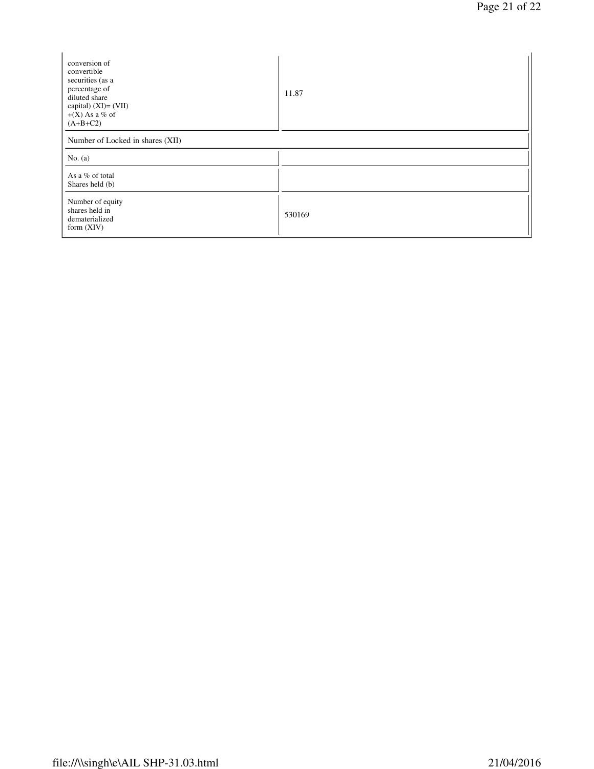| conversion of<br>convertible<br>securities (as a<br>percentage of<br>diluted share<br>capital) $(XI) = (VII)$<br>$+(X)$ As a % of<br>$(A+B+C2)$ | 11.87  |  |  |  |
|-------------------------------------------------------------------------------------------------------------------------------------------------|--------|--|--|--|
| Number of Locked in shares (XII)                                                                                                                |        |  |  |  |
| No. $(a)$                                                                                                                                       |        |  |  |  |
| As a % of total<br>Shares held (b)                                                                                                              |        |  |  |  |
| Number of equity<br>shares held in<br>dematerialized<br>form $(XIV)$                                                                            | 530169 |  |  |  |